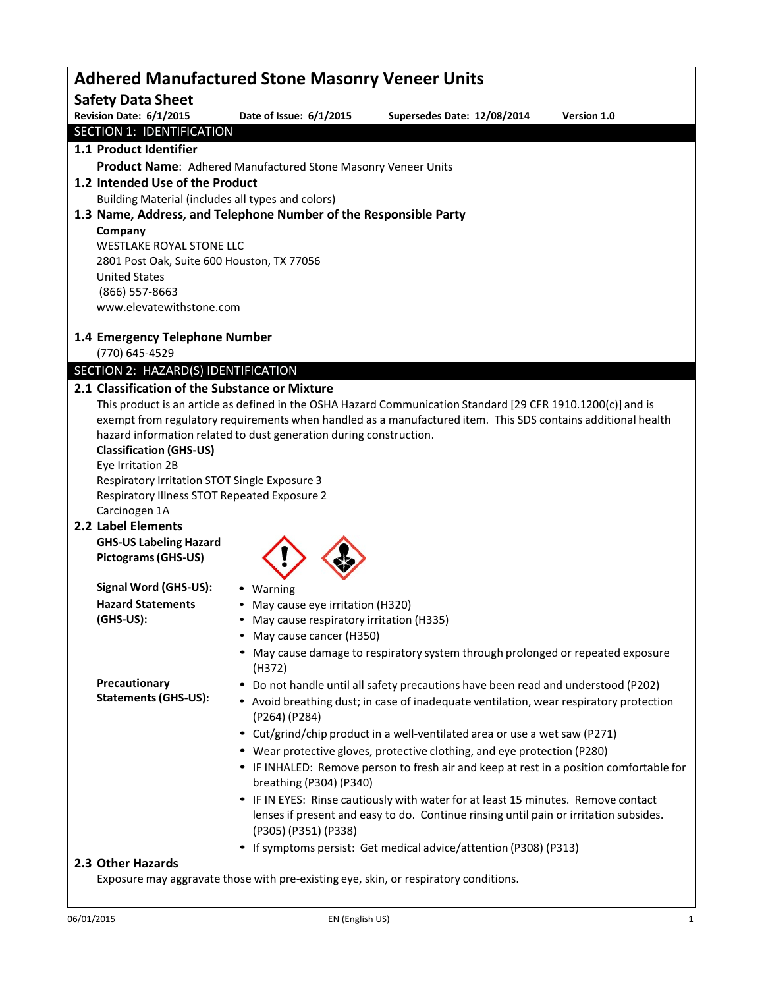| <b>Adhered Manufactured Stone Masonry Veneer Units</b>                                                                                                                                                                       |                                                                                       |                                                                                         |             |  |  |  |
|------------------------------------------------------------------------------------------------------------------------------------------------------------------------------------------------------------------------------|---------------------------------------------------------------------------------------|-----------------------------------------------------------------------------------------|-------------|--|--|--|
| <b>Safety Data Sheet</b>                                                                                                                                                                                                     |                                                                                       |                                                                                         |             |  |  |  |
| Revision Date: 6/1/2015                                                                                                                                                                                                      | Date of Issue: 6/1/2015                                                               | Supersedes Date: 12/08/2014                                                             | Version 1.0 |  |  |  |
| <b>SECTION 1: IDENTIFICATION</b>                                                                                                                                                                                             |                                                                                       |                                                                                         |             |  |  |  |
| 1.1 Product Identifier                                                                                                                                                                                                       |                                                                                       |                                                                                         |             |  |  |  |
|                                                                                                                                                                                                                              | Product Name: Adhered Manufactured Stone Masonry Veneer Units                         |                                                                                         |             |  |  |  |
| 1.2 Intended Use of the Product                                                                                                                                                                                              |                                                                                       |                                                                                         |             |  |  |  |
| Building Material (includes all types and colors)                                                                                                                                                                            |                                                                                       |                                                                                         |             |  |  |  |
|                                                                                                                                                                                                                              | 1.3 Name, Address, and Telephone Number of the Responsible Party                      |                                                                                         |             |  |  |  |
| Company<br>WESTLAKE ROYAL STONE LLC                                                                                                                                                                                          |                                                                                       |                                                                                         |             |  |  |  |
| 2801 Post Oak, Suite 600 Houston, TX 77056                                                                                                                                                                                   |                                                                                       |                                                                                         |             |  |  |  |
| <b>United States</b>                                                                                                                                                                                                         |                                                                                       |                                                                                         |             |  |  |  |
| (866) 557-8663                                                                                                                                                                                                               |                                                                                       |                                                                                         |             |  |  |  |
| www.elevatewithstone.com                                                                                                                                                                                                     |                                                                                       |                                                                                         |             |  |  |  |
|                                                                                                                                                                                                                              |                                                                                       |                                                                                         |             |  |  |  |
| 1.4 Emergency Telephone Number<br>(770) 645-4529                                                                                                                                                                             |                                                                                       |                                                                                         |             |  |  |  |
| SECTION 2: HAZARD(S) IDENTIFICATION                                                                                                                                                                                          |                                                                                       |                                                                                         |             |  |  |  |
| 2.1 Classification of the Substance or Mixture                                                                                                                                                                               |                                                                                       |                                                                                         |             |  |  |  |
|                                                                                                                                                                                                                              |                                                                                       |                                                                                         |             |  |  |  |
| This product is an article as defined in the OSHA Hazard Communication Standard [29 CFR 1910.1200(c)] and is<br>exempt from regulatory requirements when handled as a manufactured item. This SDS contains additional health |                                                                                       |                                                                                         |             |  |  |  |
|                                                                                                                                                                                                                              | hazard information related to dust generation during construction.                    |                                                                                         |             |  |  |  |
| <b>Classification (GHS-US)</b>                                                                                                                                                                                               |                                                                                       |                                                                                         |             |  |  |  |
| Eye Irritation 2B                                                                                                                                                                                                            |                                                                                       |                                                                                         |             |  |  |  |
| Respiratory Irritation STOT Single Exposure 3<br>Respiratory Illness STOT Repeated Exposure 2                                                                                                                                |                                                                                       |                                                                                         |             |  |  |  |
| Carcinogen 1A                                                                                                                                                                                                                |                                                                                       |                                                                                         |             |  |  |  |
| 2.2 Label Elements                                                                                                                                                                                                           |                                                                                       |                                                                                         |             |  |  |  |
| <b>GHS-US Labeling Hazard</b>                                                                                                                                                                                                |                                                                                       |                                                                                         |             |  |  |  |
| <b>Pictograms (GHS-US)</b>                                                                                                                                                                                                   |                                                                                       |                                                                                         |             |  |  |  |
| Signal Word (GHS-US):                                                                                                                                                                                                        |                                                                                       |                                                                                         |             |  |  |  |
| <b>Hazard Statements</b>                                                                                                                                                                                                     | • Warning                                                                             |                                                                                         |             |  |  |  |
| (GHS-US):                                                                                                                                                                                                                    | • May cause eye irritation (H320)<br>• May cause respiratory irritation (H335)        |                                                                                         |             |  |  |  |
|                                                                                                                                                                                                                              | • May cause cancer (H350)                                                             |                                                                                         |             |  |  |  |
|                                                                                                                                                                                                                              |                                                                                       | • May cause damage to respiratory system through prolonged or repeated exposure         |             |  |  |  |
|                                                                                                                                                                                                                              | (H372)                                                                                |                                                                                         |             |  |  |  |
| Precautionary<br><b>Statements (GHS-US):</b>                                                                                                                                                                                 |                                                                                       | • Do not handle until all safety precautions have been read and understood (P202)       |             |  |  |  |
|                                                                                                                                                                                                                              | (P264) (P284)                                                                         | • Avoid breathing dust; in case of inadequate ventilation, wear respiratory protection  |             |  |  |  |
|                                                                                                                                                                                                                              |                                                                                       | • Cut/grind/chip product in a well-ventilated area or use a wet saw (P271)              |             |  |  |  |
|                                                                                                                                                                                                                              |                                                                                       | • Wear protective gloves, protective clothing, and eye protection (P280)                |             |  |  |  |
|                                                                                                                                                                                                                              |                                                                                       | • IF INHALED: Remove person to fresh air and keep at rest in a position comfortable for |             |  |  |  |
|                                                                                                                                                                                                                              | breathing (P304) (P340)                                                               |                                                                                         |             |  |  |  |
|                                                                                                                                                                                                                              |                                                                                       | • IF IN EYES: Rinse cautiously with water for at least 15 minutes. Remove contact       |             |  |  |  |
|                                                                                                                                                                                                                              | lenses if present and easy to do. Continue rinsing until pain or irritation subsides. |                                                                                         |             |  |  |  |
|                                                                                                                                                                                                                              | (P305) (P351) (P338)                                                                  |                                                                                         |             |  |  |  |
|                                                                                                                                                                                                                              |                                                                                       | • If symptoms persist: Get medical advice/attention (P308) (P313)                       |             |  |  |  |
| 2.3 Other Hazards                                                                                                                                                                                                            |                                                                                       |                                                                                         |             |  |  |  |
|                                                                                                                                                                                                                              |                                                                                       | Exposure may aggravate those with pre-existing eye, skin, or respiratory conditions.    |             |  |  |  |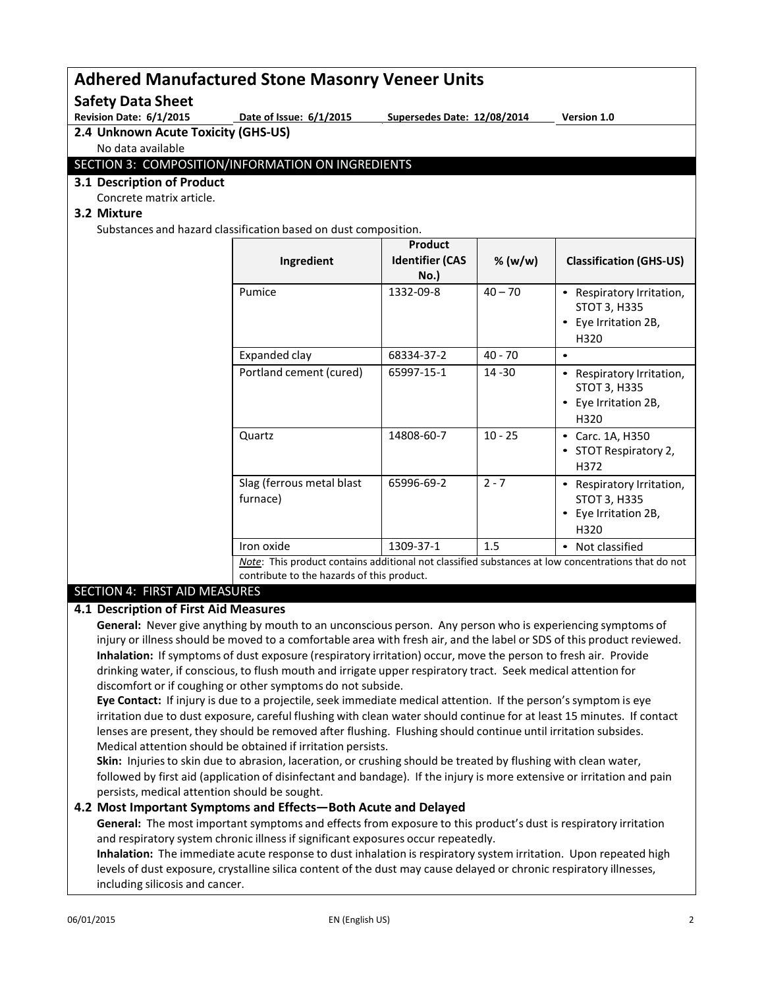### **Adhered Manufactured Stone Masonry Veneer Units Safety Data Sheet** Revision Date: 6/1/2015 **Date of Issue: 6/1/2015** Supersedes Date: 12/08/2014 Version 1.0 **2.4 Unknown Acute Toxicity (GHS-US)** No data available SECTION 3: COMPOSITION/INFORMATION ON INGREDIENTS **3.1 Description of Product** Concrete matrix article. **3.2 Mixture** Substances and hazard classification based on dust composition. **Ingredient Product Identifier (CAS % (w/w) Classification (GHS-US) No.)** Pumice  $\vert$  1332-09-8  $\vert$  40 – 70  $\vert$  • Respiratory Irritation, STOT 3, H335 • Eye Irritation 2B, H320 Expanded clay  $\begin{array}{|c|c|c|c|c|c|c|c|} \hline \end{array}$  68334-37-2  $\begin{array}{|c|c|c|c|c|c|} \hline \end{array}$  40 - 70  $\begin{array}{|c|c|c|c|c|c|c|} \hline \end{array}$ Portland cement (cured) 65997-15-1 14 -30 • Respiratory Irritation, STOT 3, H335 • Eye Irritation 2B, H320 Quartz 14808-60-7 10 - 25 • Carc. 1A, H350

#### **4.1 Description of First Aid Measures**

SECTION 4: FIRST AID MEASURES

**General:** Never give anything by mouth to an unconscious person. Any person who is experiencing symptoms of injury or illness should be moved to a comfortable area with fresh air, and the label or SDS of this product reviewed. **Inhalation:** If symptoms of dust exposure (respiratory irritation) occur, move the person to fresh air. Provide drinking water, if conscious, to flush mouth and irrigate upper respiratory tract. Seek medical attention for discomfort or if coughing or other symptoms do not subside.

Iron oxide 1309-37-1 1.5 • Not classified

*Note*: This product contains additional not classified substances at low concentrations that do not

**Eye Contact:** If injury is due to a projectile, seek immediate medical attention. If the person's symptom is eye irritation due to dust exposure, careful flushing with clean water should continue for at least 15 minutes. If contact lenses are present, they should be removed after flushing. Flushing should continue until irritation subsides. Medical attention should be obtained if irritation persists.

**Skin:** Injuries to skin due to abrasion, laceration, or crushing should be treated by flushing with clean water, followed by first aid (application of disinfectant and bandage). If the injury is more extensive or irritation and pain persists, medical attention should be sought.

#### **4.2 Most Important Symptoms and Effects—Both Acute and Delayed**

Slag (ferrous metal blast

contribute to the hazards of this product.

furnace)

**General:** The most important symptoms and effects from exposure to this product's dust is respiratory irritation and respiratory system chronic illness if significant exposures occur repeatedly.

**Inhalation:** The immediate acute response to dust inhalation is respiratory system irritation. Upon repeated high levels of dust exposure, crystalline silica content of the dust may cause delayed or chronic respiratory illnesses, including silicosis and cancer.

• STOT Respiratory 2,

STOT 3, H335 • Eye Irritation 2B,

H372

H320

65996-69-2  $\begin{vmatrix} 2 & -7 \\ \end{vmatrix}$  Respiratory Irritation,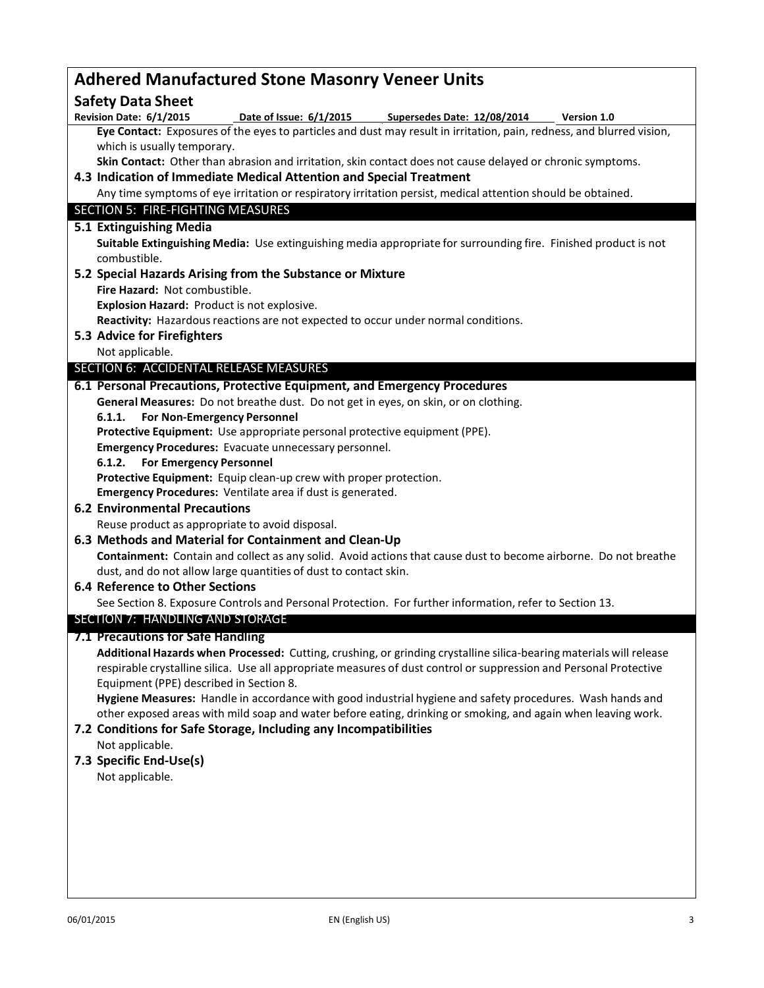| <b>Adhered Manufactured Stone Masonry Veneer Units</b>                                                                |  |  |  |  |
|-----------------------------------------------------------------------------------------------------------------------|--|--|--|--|
| <b>Safety Data Sheet</b>                                                                                              |  |  |  |  |
| Revision Date: 6/1/2015<br>Date of Issue: 6/1/2015<br>Supersedes Date: 12/08/2014<br><b>Version 1.0</b>               |  |  |  |  |
| Eye Contact: Exposures of the eyes to particles and dust may result in irritation, pain, redness, and blurred vision, |  |  |  |  |
| which is usually temporary.                                                                                           |  |  |  |  |
| Skin Contact: Other than abrasion and irritation, skin contact does not cause delayed or chronic symptoms.            |  |  |  |  |
| 4.3 Indication of Immediate Medical Attention and Special Treatment                                                   |  |  |  |  |
| Any time symptoms of eye irritation or respiratory irritation persist, medical attention should be obtained.          |  |  |  |  |
| SECTION 5: FIRE-FIGHTING MEASURES                                                                                     |  |  |  |  |
| 5.1 Extinguishing Media                                                                                               |  |  |  |  |
| Suitable Extinguishing Media: Use extinguishing media appropriate for surrounding fire. Finished product is not       |  |  |  |  |
| combustible.                                                                                                          |  |  |  |  |
| 5.2 Special Hazards Arising from the Substance or Mixture                                                             |  |  |  |  |
| Fire Hazard: Not combustible.                                                                                         |  |  |  |  |
| Explosion Hazard: Product is not explosive.                                                                           |  |  |  |  |
| Reactivity: Hazardous reactions are not expected to occur under normal conditions.                                    |  |  |  |  |
| 5.3 Advice for Firefighters                                                                                           |  |  |  |  |
| Not applicable.                                                                                                       |  |  |  |  |
| SECTION 6: ACCIDENTAL RELEASE MEASURES                                                                                |  |  |  |  |
| 6.1 Personal Precautions, Protective Equipment, and Emergency Procedures                                              |  |  |  |  |
| General Measures: Do not breathe dust. Do not get in eyes, on skin, or on clothing.                                   |  |  |  |  |
| <b>For Non-Emergency Personnel</b><br>6.1.1.                                                                          |  |  |  |  |
| Protective Equipment: Use appropriate personal protective equipment (PPE).                                            |  |  |  |  |
| Emergency Procedures: Evacuate unnecessary personnel.                                                                 |  |  |  |  |
| 6.1.2. For Emergency Personnel                                                                                        |  |  |  |  |
| Protective Equipment: Equip clean-up crew with proper protection.                                                     |  |  |  |  |
| Emergency Procedures: Ventilate area if dust is generated.                                                            |  |  |  |  |
| <b>6.2 Environmental Precautions</b>                                                                                  |  |  |  |  |
| Reuse product as appropriate to avoid disposal.                                                                       |  |  |  |  |
| 6.3 Methods and Material for Containment and Clean-Up                                                                 |  |  |  |  |
| Containment: Contain and collect as any solid. Avoid actions that cause dust to become airborne. Do not breathe       |  |  |  |  |
| dust, and do not allow large quantities of dust to contact skin.                                                      |  |  |  |  |
| 6.4 Reference to Other Sections                                                                                       |  |  |  |  |
| See Section 8. Exposure Controls and Personal Protection. For further information, refer to Section 13.               |  |  |  |  |
| <b>SECTION 7: HANDLING AND STORAGE</b>                                                                                |  |  |  |  |
| 7.1 Precautions for Safe Handling                                                                                     |  |  |  |  |
| Additional Hazards when Processed: Cutting, crushing, or grinding crystalline silica-bearing materials will release   |  |  |  |  |
| respirable crystalline silica. Use all appropriate measures of dust control or suppression and Personal Protective    |  |  |  |  |
| Equipment (PPE) described in Section 8.                                                                               |  |  |  |  |
| Hygiene Measures: Handle in accordance with good industrial hygiene and safety procedures. Wash hands and             |  |  |  |  |
| other exposed areas with mild soap and water before eating, drinking or smoking, and again when leaving work.         |  |  |  |  |
| 7.2 Conditions for Safe Storage, Including any Incompatibilities                                                      |  |  |  |  |
| Not applicable.                                                                                                       |  |  |  |  |
| 7.3 Specific End-Use(s)                                                                                               |  |  |  |  |
| Not applicable.                                                                                                       |  |  |  |  |
|                                                                                                                       |  |  |  |  |
|                                                                                                                       |  |  |  |  |
|                                                                                                                       |  |  |  |  |
|                                                                                                                       |  |  |  |  |
|                                                                                                                       |  |  |  |  |
|                                                                                                                       |  |  |  |  |
|                                                                                                                       |  |  |  |  |
|                                                                                                                       |  |  |  |  |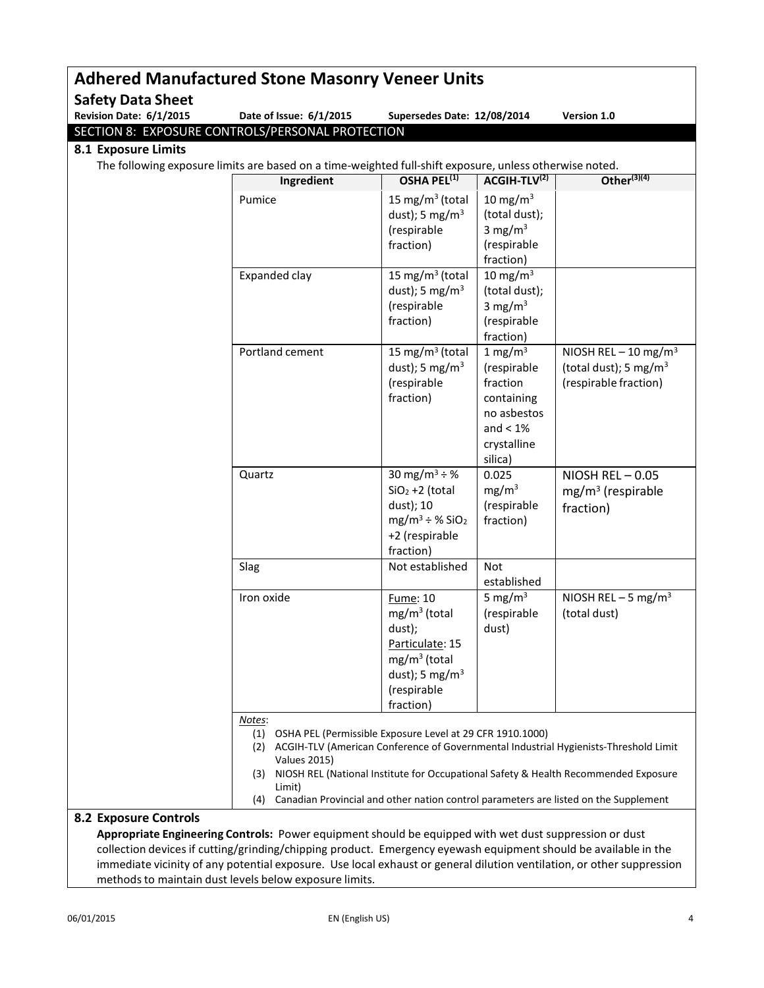| Revision Date: 6/1/2015 | Date of Issue: 6/1/2015                                                                                                                                                                                 | Supersedes Date: 12/08/2014                                                                                                                |                                                                                                             | Version 1.0                                                                                                                                                                     |
|-------------------------|---------------------------------------------------------------------------------------------------------------------------------------------------------------------------------------------------------|--------------------------------------------------------------------------------------------------------------------------------------------|-------------------------------------------------------------------------------------------------------------|---------------------------------------------------------------------------------------------------------------------------------------------------------------------------------|
|                         | SECTION 8: EXPOSURE CONTROLS/PERSONAL PROTECTION                                                                                                                                                        |                                                                                                                                            |                                                                                                             |                                                                                                                                                                                 |
| 8.1 Exposure Limits     |                                                                                                                                                                                                         |                                                                                                                                            |                                                                                                             |                                                                                                                                                                                 |
|                         | The following exposure limits are based on a time-weighted full-shift exposure, unless otherwise noted.                                                                                                 | OSHA PEL <sup>(1)</sup>                                                                                                                    |                                                                                                             | Other $(3)(4)$                                                                                                                                                                  |
|                         | Ingredient                                                                                                                                                                                              |                                                                                                                                            | ACGIH-TLV(2)                                                                                                |                                                                                                                                                                                 |
|                         | Pumice                                                                                                                                                                                                  | 15 mg/m $3$ (total<br>dust); 5 mg/m <sup>3</sup><br>(respirable<br>fraction)                                                               | 10 mg/m $3$<br>(total dust);<br>3 mg/m $3$<br>(respirable<br>fraction)                                      |                                                                                                                                                                                 |
|                         | Expanded clay                                                                                                                                                                                           | 15 mg/m <sup>3</sup> (total<br>dust); 5 mg/m <sup>3</sup><br>(respirable<br>fraction)                                                      | 10 mg/m $3$<br>(total dust);<br>3 mg/m $3$<br>(respirable<br>fraction)                                      |                                                                                                                                                                                 |
|                         | Portland cement                                                                                                                                                                                         | 15 mg/m <sup>3</sup> (total<br>dust); 5 mg/m <sup>3</sup><br>(respirable<br>fraction)                                                      | 1 mg/m $3$<br>(respirable<br>fraction<br>containing<br>no asbestos<br>and $< 1\%$<br>crystalline<br>silica) | NIOSH REL $-10$ mg/m <sup>3</sup><br>(total dust); 5 mg/m <sup>3</sup><br>(respirable fraction)                                                                                 |
|                         | Quartz                                                                                                                                                                                                  | 30 mg/m <sup>3</sup> ÷ %<br>$SiO2 + 2$ (total<br>dust); 10<br>$mg/m^3 \div \%$ SiO <sub>2</sub><br>+2 (respirable<br>fraction)             | 0.025<br>mg/m <sup>3</sup><br>(respirable<br>fraction)                                                      | NIOSH REL-0.05<br>$mg/m3$ (respirable<br>fraction)                                                                                                                              |
|                         | Slag                                                                                                                                                                                                    | Not established                                                                                                                            | Not<br>established                                                                                          |                                                                                                                                                                                 |
|                         | Iron oxide                                                                                                                                                                                              | <b>Fume: 10</b><br>$mg/m3$ (total<br>dust);<br>Particulate: 15<br>$mg/m3$ (total<br>dust); 5 mg/m <sup>3</sup><br>(respirable<br>fraction) | 5 mg/m $3$<br>(respirable<br>dust)                                                                          | NIOSH REL $-5$ mg/m <sup>3</sup><br>(total dust)                                                                                                                                |
|                         | Notes:<br>(1) OSHA PEL (Permissible Exposure Level at 29 CFR 1910.1000)<br><b>Values 2015)</b><br>(3)<br>Limit)<br>Canadian Provincial and other nation control parameters are listed on the Supplement |                                                                                                                                            |                                                                                                             | (2) ACGIH-TLV (American Conference of Governmental Industrial Hygienists-Threshold Limit<br>NIOSH REL (National Institute for Occupational Safety & Health Recommended Exposure |

**Appropriate Engineering Controls:** Power equipment should be equipped with wet dust suppression or dust collection devices if cutting/grinding/chipping product. Emergency eyewash equipment should be available in the immediate vicinity of any potential exposure. Use local exhaust or general dilution ventilation, or other suppression methods to maintain dust levels below exposure limits.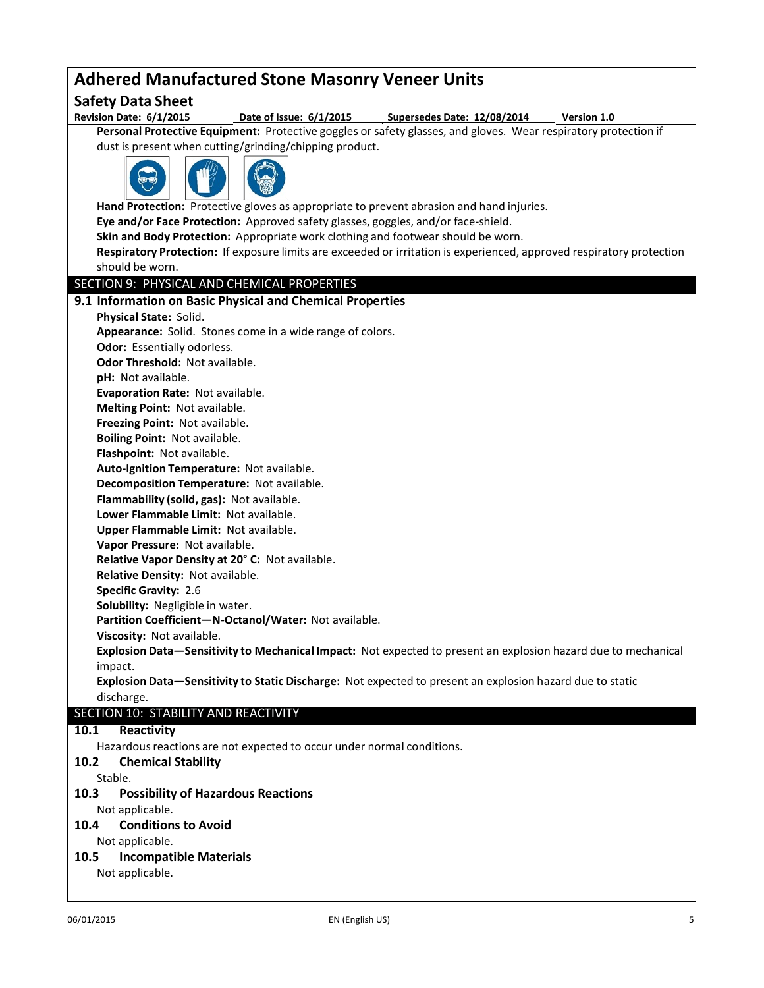## **Adhered Manufactured Stone Masonry Veneer Units Safety Data Sheet** Date of Issue: 6/1/2015 Supersedes Date: 12/08/2014 Version 1.0 **Personal Protective Equipment:** Protective goggles or safety glasses, and gloves. Wear respiratory protection if dust is present when cutting/grinding/chipping product. **Hand Protection:** Protective gloves as appropriate to prevent abrasion and hand injuries. **Eye and/or Face Protection:** Approved safety glasses, goggles, and/or face-shield. **Skin and Body Protection:** Appropriate work clothing and footwear should be worn. **Respiratory Protection:** If exposure limits are exceeded or irritation is experienced, approved respiratory protection should be worn. SECTION 9: PHYSICAL AND CHEMICAL PROPERTIES **9.1 Information on Basic Physical and Chemical Properties Physical State:** Solid. **Appearance:** Solid. Stones come in a wide range of colors. **Odor:** Essentially odorless. **Odor Threshold:** Not available. **pH:** Not available. **Evaporation Rate:** Not available. **Melting Point:** Not available. **Freezing Point:** Not available. **Boiling Point:** Not available. **Flashpoint:** Not available. **Auto-Ignition Temperature:** Not available. **Decomposition Temperature:** Not available. **Flammability (solid, gas):** Not available. **Lower Flammable Limit:** Not available. **Upper Flammable Limit:** Not available. **Vapor Pressure:** Not available. **Relative Vapor Density at 20° C:** Not available. **Relative Density:** Not available. **Specific Gravity:** 2.6 **Solubility:** Negligible in water. **Partition Coefficient—N-Octanol/Water:** Not available. **Viscosity:** Not available. **Explosion Data—Sensitivity to Mechanical Impact:** Not expected to present an explosion hazard due to mechanical impact. **Explosion Data—Sensitivity to Static Discharge:** Not expected to present an explosion hazard due to static discharge. SECTION 10: STABILITY AND REACTIVITY **10.1 Reactivity** Hazardous reactions are not expected to occur under normal conditions. **10.2 Chemical Stability** Stable. **10.3 Possibility of Hazardous Reactions** Not applicable. **10.4 Conditions to Avoid** Not applicable. **10.5 Incompatible Materials** Not applicable.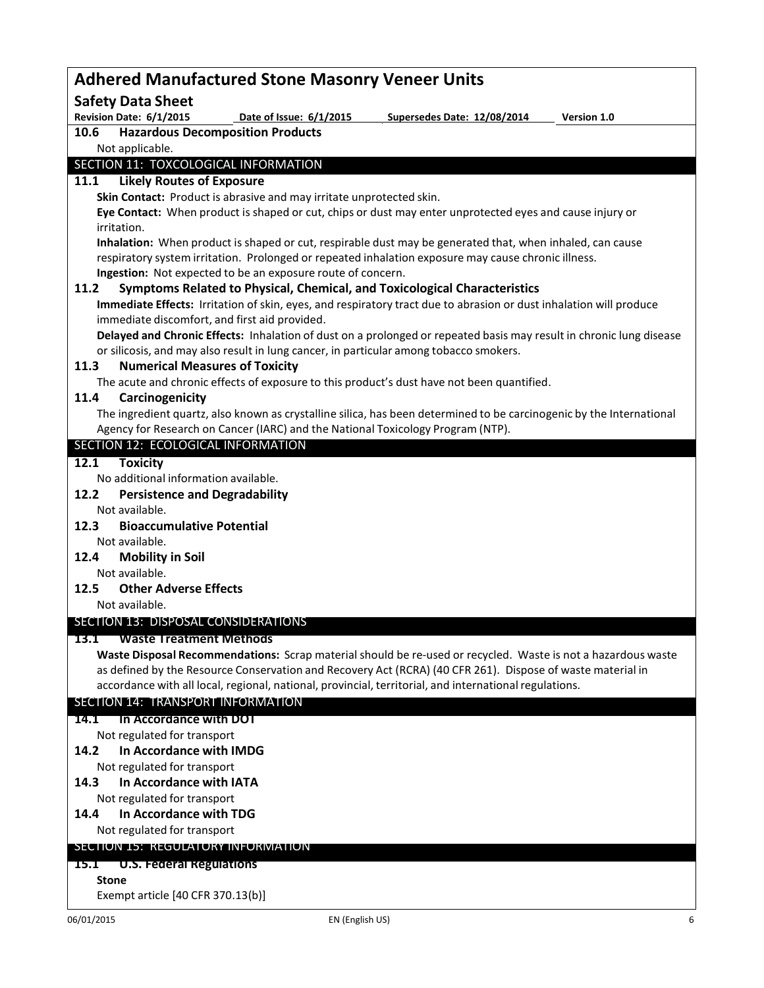| <b>Adhered Manufactured Stone Masonry Veneer Units</b>                                                                                                                                                           |  |  |  |  |
|------------------------------------------------------------------------------------------------------------------------------------------------------------------------------------------------------------------|--|--|--|--|
| <b>Safety Data Sheet</b>                                                                                                                                                                                         |  |  |  |  |
| Revision Date: 6/1/2015<br>Date of Issue: 6/1/2015<br>Supersedes Date: 12/08/2014<br>Version 1.0                                                                                                                 |  |  |  |  |
| <b>Hazardous Decomposition Products</b><br>10.6                                                                                                                                                                  |  |  |  |  |
| Not applicable.                                                                                                                                                                                                  |  |  |  |  |
| SECTION 11: TOXCOLOGICAL INFORMATION                                                                                                                                                                             |  |  |  |  |
| <b>Likely Routes of Exposure</b><br>11.1                                                                                                                                                                         |  |  |  |  |
| Skin Contact: Product is abrasive and may irritate unprotected skin.                                                                                                                                             |  |  |  |  |
| Eye Contact: When product is shaped or cut, chips or dust may enter unprotected eyes and cause injury or                                                                                                         |  |  |  |  |
| irritation.                                                                                                                                                                                                      |  |  |  |  |
| Inhalation: When product is shaped or cut, respirable dust may be generated that, when inhaled, can cause<br>respiratory system irritation. Prolonged or repeated inhalation exposure may cause chronic illness. |  |  |  |  |
| Ingestion: Not expected to be an exposure route of concern.                                                                                                                                                      |  |  |  |  |
| 11.2<br>Symptoms Related to Physical, Chemical, and Toxicological Characteristics                                                                                                                                |  |  |  |  |
| Immediate Effects: Irritation of skin, eyes, and respiratory tract due to abrasion or dust inhalation will produce                                                                                               |  |  |  |  |
| immediate discomfort, and first aid provided.                                                                                                                                                                    |  |  |  |  |
| Delayed and Chronic Effects: Inhalation of dust on a prolonged or repeated basis may result in chronic lung disease                                                                                              |  |  |  |  |
| or silicosis, and may also result in lung cancer, in particular among tobacco smokers.                                                                                                                           |  |  |  |  |
| <b>Numerical Measures of Toxicity</b><br>11.3                                                                                                                                                                    |  |  |  |  |
| The acute and chronic effects of exposure to this product's dust have not been quantified.                                                                                                                       |  |  |  |  |
| Carcinogenicity<br>11.4                                                                                                                                                                                          |  |  |  |  |
| The ingredient quartz, also known as crystalline silica, has been determined to be carcinogenic by the International                                                                                             |  |  |  |  |
| Agency for Research on Cancer (IARC) and the National Toxicology Program (NTP).                                                                                                                                  |  |  |  |  |
| SECTION 12: ECOLOGICAL INFORMATION                                                                                                                                                                               |  |  |  |  |
| <b>Toxicity</b><br>12.1                                                                                                                                                                                          |  |  |  |  |
| No additional information available.                                                                                                                                                                             |  |  |  |  |
| <b>Persistence and Degradability</b><br>12.2                                                                                                                                                                     |  |  |  |  |
| Not available.                                                                                                                                                                                                   |  |  |  |  |
| <b>Bioaccumulative Potential</b><br>12.3                                                                                                                                                                         |  |  |  |  |
| Not available.                                                                                                                                                                                                   |  |  |  |  |
| <b>Mobility in Soil</b><br>12.4<br>Not available.                                                                                                                                                                |  |  |  |  |
| 12.5<br><b>Other Adverse Effects</b>                                                                                                                                                                             |  |  |  |  |
| Not available.                                                                                                                                                                                                   |  |  |  |  |
| SECTION 13: DISPOSAL CONSIDERATIONS                                                                                                                                                                              |  |  |  |  |
|                                                                                                                                                                                                                  |  |  |  |  |
| <b>Waste Treatment Methods</b><br>13.1<br>Waste Disposal Recommendations: Scrap material should be re-used or recycled. Waste is not a hazardous waste                                                           |  |  |  |  |
| as defined by the Resource Conservation and Recovery Act (RCRA) (40 CFR 261). Dispose of waste material in                                                                                                       |  |  |  |  |
| accordance with all local, regional, national, provincial, territorial, and international regulations.                                                                                                           |  |  |  |  |
| SECTION 14: TRANSPORT INFORMATION                                                                                                                                                                                |  |  |  |  |
| In Accordance with DOT<br><b>14.1</b>                                                                                                                                                                            |  |  |  |  |
| Not regulated for transport                                                                                                                                                                                      |  |  |  |  |
| In Accordance with IMDG<br>14.2                                                                                                                                                                                  |  |  |  |  |
| Not regulated for transport                                                                                                                                                                                      |  |  |  |  |
| In Accordance with IATA<br>14.3                                                                                                                                                                                  |  |  |  |  |
| Not regulated for transport                                                                                                                                                                                      |  |  |  |  |
| In Accordance with TDG<br>14.4                                                                                                                                                                                   |  |  |  |  |
| Not regulated for transport                                                                                                                                                                                      |  |  |  |  |
| SECTION 15: REGULATORY INFORMATION                                                                                                                                                                               |  |  |  |  |
| U.S. Federal Regulations<br><u> 15.T</u>                                                                                                                                                                         |  |  |  |  |
| <b>Stone</b>                                                                                                                                                                                                     |  |  |  |  |
| Exempt article [40 CFR 370.13(b)]                                                                                                                                                                                |  |  |  |  |